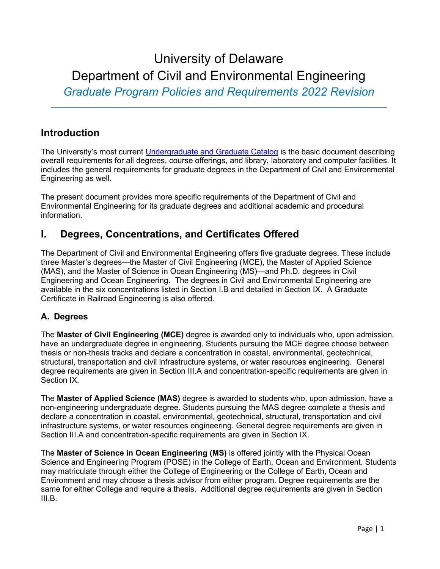# University of Delaware Department of Civil and Environmental Engineering

*Graduate Program Policies and Requirements 2022 Revision*

# **Introduction**

The University's most current [Undergraduate and Graduate Catalog](http://academiccatalog.udel.edu/) is the basic document describing overall requirements for all degrees, course offerings, and library, laboratory and computer facilities. It includes the general requirements for graduate degrees in the Department of Civil and Environmental Engineering as well.

The present document provides more specific requirements of the Department of Civil and Environmental Engineering for its graduate degrees and additional academic and procedural information.

# **I. Degrees, Concentrations, and Certificates Offered**

The Department of Civil and Environmental Engineering offers five graduate degrees. These include three Master's degrees—the Master of Civil Engineering (MCE), the Master of Applied Science (MAS), and the Master of Science in Ocean Engineering (MS)—and Ph.D. degrees in Civil Engineering and Ocean Engineering. The degrees in Civil and Environmental Engineering are available in the six concentrations listed in Section I.B and detailed in Section IX. A Graduate Certificate in Railroad Engineering is also offered.

## **A. Degrees**

The **Master of Civil Engineering (MCE)** degree is awarded only to individuals who, upon admission, have an undergraduate degree in engineering. Students pursuing the MCE degree choose between thesis or non-thesis tracks and declare a concentration in coastal, environmental, geotechnical, structural, transportation and civil infrastructure systems, or water resources engineering. General degree requirements are given in Section III.A and concentration-specific requirements are given in Section IX.

The **Master of Applied Science (MAS)** degree is awarded to students who, upon admission, have a non-engineering undergraduate degree. Students pursuing the MAS degree complete a thesis and declare a concentration in coastal, environmental, geotechnical, structural, transportation and civil infrastructure systems, or water resources engineering. General degree requirements are given in Section III.A and concentration-specific requirements are given in Section IX.

The **Master of Science in Ocean Engineering (MS)** is offered jointly with the Physical Ocean Science and Engineering Program (POSE) in the College of Earth, Ocean and Environment. Students may matriculate through either the College of Engineering or the College of Earth, Ocean and Environment and may choose a thesis advisor from either program. Degree requirements are the same for either College and require a thesis. Additional degree requirements are given in Section III.B.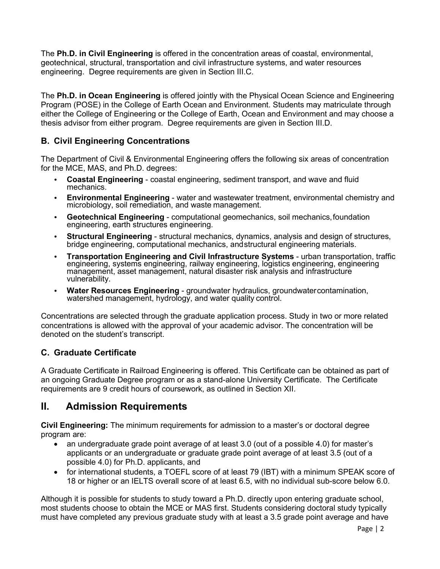The **Ph.D. in Civil Engineering** is offered in the concentration areas of coastal, environmental, geotechnical, structural, transportation and civil infrastructure systems, and water resources engineering. Degree requirements are given in Section III.C.

The **Ph.D. in Ocean Engineering** is offered jointly with the Physical Ocean Science and Engineering Program (POSE) in the College of Earth Ocean and Environment. Students may matriculate through either the College of Engineering or the College of Earth, Ocean and Environment and may choose a thesis advisor from either program. Degree requirements are given in Section III.D.

## **B. Civil Engineering Concentrations**

The Department of Civil & Environmental Engineering offers the following six areas of concentration for the MCE, MAS, and Ph.D. degrees:

- **Coastal Engineering** coastal engineering, sediment transport, and wave and fluid mechanics.
- **Environmental Engineering** water and wastewater treatment, environmental chemistry and microbiology, soil remediation, and waste management.
- **Geotechnical Engineering** computational geomechanics, soil mechanics,foundation engineering, earth structures engineering.
- **Structural Engineering** structural mechanics, dynamics, analysis and design of structures, bridge engineering, computational mechanics, andstructural engineering materials.
- **Transportation Engineering and Civil Infrastructure Systems** urban transportation, traffic engineering, systems engineering, railway engineering, logistics engineering, engineering management, asset management, natural disaster risk analysis and infrastructure vulnerability.
- **Water Resources Engineering** groundwater hydraulics, groundwatercontamination, watershed management, hydrology, and water quality control.

Concentrations are selected through the graduate application process. Study in two or more related concentrations is allowed with the approval of your academic advisor. The concentration will be denoted on the student's transcript.

## **C. Graduate Certificate**

A Graduate Certificate in Railroad Engineering is offered. This Certificate can be obtained as part of an ongoing Graduate Degree program or as a stand-alone University Certificate. The Certificate requirements are 9 credit hours of coursework, as outlined in Section XII.

# **II. Admission Requirements**

**Civil Engineering:** The minimum requirements for admission to a master's or doctoral degree program are:

- an undergraduate grade point average of at least 3.0 (out of a possible 4.0) for master's applicants or an undergraduate or graduate grade point average of at least 3.5 (out of a possible 4.0) for Ph.D. applicants, and
- for international students, a TOEFL score of at least 79 (IBT) with a minimum SPEAK score of 18 or higher or an IELTS overall score of at least 6.5, with no individual sub-score below 6.0.

Although it is possible for students to study toward a Ph.D. directly upon entering graduate school, most students choose to obtain the MCE or MAS first. Students considering doctoral study typically must have completed any previous graduate study with at least a 3.5 grade point average and have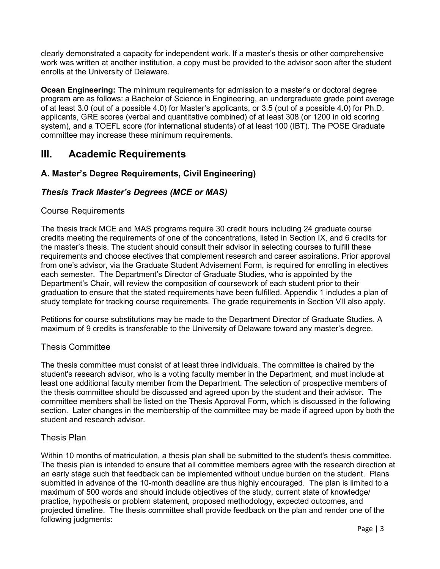clearly demonstrated a capacity for independent work. If a master's thesis or other comprehensive work was written at another institution, a copy must be provided to the advisor soon after the student enrolls at the University of Delaware.

**Ocean Engineering:** The minimum requirements for admission to a master's or doctoral degree program are as follows: a Bachelor of Science in Engineering, an undergraduate grade point average of at least 3.0 (out of a possible 4.0) for Master's applicants, or 3.5 (out of a possible 4.0) for Ph.D. applicants, GRE scores (verbal and quantitative combined) of at least 308 (or 1200 in old scoring system), and a TOEFL score (for international students) of at least 100 (IBT). The POSE Graduate committee may increase these minimum requirements.

# **III. Academic Requirements**

## **A. Master's Degree Requirements, Civil Engineering)**

## *Thesis Track Master's Degrees (MCE or MAS)*

#### Course Requirements

The thesis track MCE and MAS programs require 30 credit hours including 24 graduate course credits meeting the requirements of one of the concentrations, listed in Section IX, and 6 credits for the master's thesis. The student should consult their advisor in selecting courses to fulfill these requirements and choose electives that complement research and career aspirations. Prior approval from one's advisor, via the Graduate Student Advisement Form, is required for enrolling in electives each semester. The Department's Director of Graduate Studies, who is appointed by the Department's Chair, will review the composition of coursework of each student prior to their graduation to ensure that the stated requirements have been fulfilled. Appendix 1 includes a plan of study template for tracking course requirements. The grade requirements in Section VII also apply.

Petitions for course substitutions may be made to the Department Director of Graduate Studies. A maximum of 9 credits is transferable to the University of Delaware toward any master's degree.

#### Thesis Committee

The thesis committee must consist of at least three individuals. The committee is chaired by the student's research advisor, who is a voting faculty member in the Department, and must include at least one additional faculty member from the Department. The selection of prospective members of the thesis committee should be discussed and agreed upon by the student and their advisor. The committee members shall be listed on the Thesis Approval Form, which is discussed in the following section. Later changes in the membership of the committee may be made if agreed upon by both the student and research advisor.

#### Thesis Plan

Within 10 months of matriculation, a thesis plan shall be submitted to the student's thesis committee. The thesis plan is intended to ensure that all committee members agree with the research direction at an early stage such that feedback can be implemented without undue burden on the student. Plans submitted in advance of the 10-month deadline are thus highly encouraged. The plan is limited to a maximum of 500 words and should include objectives of the study, current state of knowledge/ practice, hypothesis or problem statement, proposed methodology, expected outcomes, and projected timeline. The thesis committee shall provide feedback on the plan and render one of the following judgments: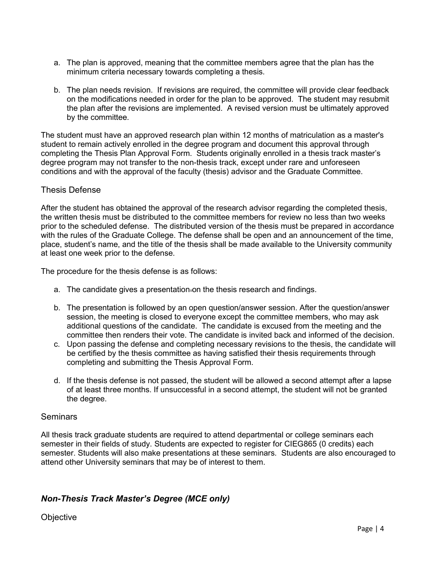- a. The plan is approved, meaning that the committee members agree that the plan has the minimum criteria necessary towards completing a thesis.
- b. The plan needs revision. If revisions are required, the committee will provide clear feedback on the modifications needed in order for the plan to be approved. The student may resubmit the plan after the revisions are implemented. A revised version must be ultimately approved by the committee.

The student must have an approved research plan within 12 months of matriculation as a master's student to remain actively enrolled in the degree program and document this approval through completing the Thesis Plan Approval Form. Students originally enrolled in a thesis track master's degree program may not transfer to the non-thesis track, except under rare and unforeseen conditions and with the approval of the faculty (thesis) advisor and the Graduate Committee.

#### Thesis Defense

After the student has obtained the approval of the research advisor regarding the completed thesis, the written thesis must be distributed to the committee members for review no less than two weeks prior to the scheduled defense. The distributed version of the thesis must be prepared in accordance with the rules of the Graduate College. The defense shall be open and an announcement of the time, place, student's name, and the title of the thesis shall be made available to the University community at least one week prior to the defense.

The procedure for the thesis defense is as follows:

- a. The candidate gives a presentation on the thesis research and findings.
- b. The presentation is followed by an open question/answer session. After the question/answer session, the meeting is closed to everyone except the committee members, who may ask additional questions of the candidate. The candidate is excused from the meeting and the committee then renders their vote. The candidate is invited back and informed of the decision.
- c. Upon passing the defense and completing necessary revisions to the thesis, the candidate will be certified by the thesis committee as having satisfied their thesis requirements through completing and submitting the Thesis Approval Form.
- d. If the thesis defense is not passed, the student will be allowed a second attempt after a lapse of at least three months. If unsuccessful in a second attempt, the student will not be granted the degree.

#### **Seminars**

All thesis track graduate students are required to attend departmental or college seminars each semester in their fields of study. Students are expected to register for CIEG865 (0 credits) each semester. Students will also make presentations at these seminars. Students are also encouraged to attend other University seminars that may be of interest to them.

## *Non-Thesis Track Master's Degree (MCE only)*

**Objective**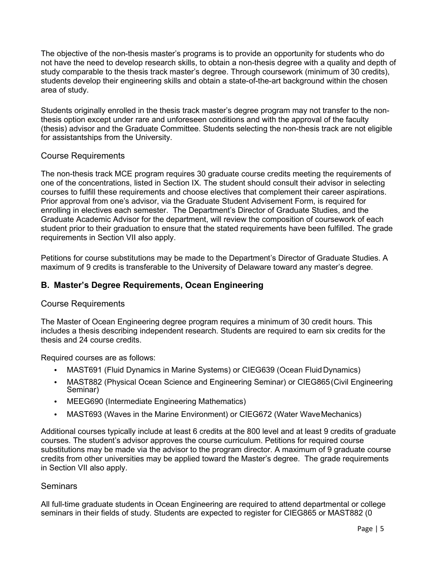The objective of the non-thesis master's programs is to provide an opportunity for students who do not have the need to develop research skills, to obtain a non-thesis degree with a quality and depth of study comparable to the thesis track master's degree. Through coursework (minimum of 30 credits), students develop their engineering skills and obtain a state-of-the-art background within the chosen area of study.

Students originally enrolled in the thesis track master's degree program may not transfer to the nonthesis option except under rare and unforeseen conditions and with the approval of the faculty (thesis) advisor and the Graduate Committee. Students selecting the non-thesis track are not eligible for assistantships from the University.

## Course Requirements

The non-thesis track MCE program requires 30 graduate course credits meeting the requirements of one of the concentrations, listed in Section IX. The student should consult their advisor in selecting courses to fulfill these requirements and choose electives that complement their career aspirations. Prior approval from one's advisor, via the Graduate Student Advisement Form, is required for enrolling in electives each semester. The Department's Director of Graduate Studies, and the Graduate Academic Advisor for the department, will review the composition of coursework of each student prior to their graduation to ensure that the stated requirements have been fulfilled. The grade requirements in Section VII also apply.

Petitions for course substitutions may be made to the Department's Director of Graduate Studies. A maximum of 9 credits is transferable to the University of Delaware toward any master's degree.

#### **B. Master's Degree Requirements, Ocean Engineering**

#### Course Requirements

The Master of Ocean Engineering degree program requires a minimum of 30 credit hours. This includes a thesis describing independent research. Students are required to earn six credits for the thesis and 24 course credits.

Required courses are as follows:

- MAST691 (Fluid Dynamics in Marine Systems) or CIEG639 (Ocean Fluid Dynamics)
- MAST882 (Physical Ocean Science and Engineering Seminar) or CIEG865 (Civil Engineering Seminar)
- MEEG690 (Intermediate Engineering Mathematics)
- MAST693 (Waves in the Marine Environment) or CIEG672 (Water Wave Mechanics)

Additional courses typically include at least 6 credits at the 800 level and at least 9 credits of graduate courses. The student's advisor approves the course curriculum. Petitions for required course substitutions may be made via the advisor to the program director. A maximum of 9 graduate course credits from other universities may be applied toward the Master's degree. The grade requirements in Section VII also apply.

#### **Seminars**

All full-time graduate students in Ocean Engineering are required to attend departmental or college seminars in their fields of study. Students are expected to register for CIEG865 or MAST882 (0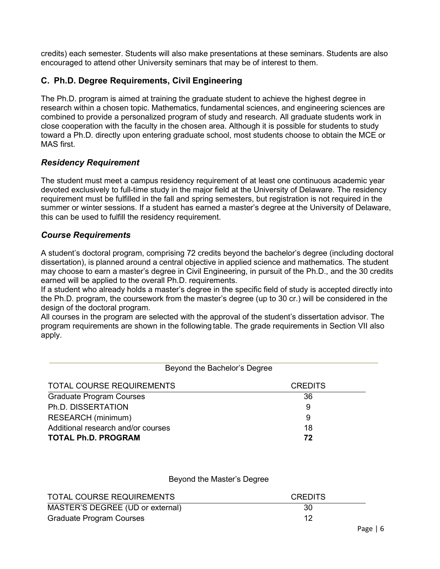credits) each semester. Students will also make presentations at these seminars. Students are also encouraged to attend other University seminars that may be of interest to them.

## **C. Ph.D. Degree Requirements, Civil Engineering**

The Ph.D. program is aimed at training the graduate student to achieve the highest degree in research within a chosen topic. Mathematics, fundamental sciences, and engineering sciences are combined to provide a personalized program of study and research. All graduate students work in close cooperation with the faculty in the chosen area. Although it is possible for students to study toward a Ph.D. directly upon entering graduate school, most students choose to obtain the MCE or MAS first.

## *Residency Requirement*

The student must meet a campus residency requirement of at least one continuous academic year devoted exclusively to full-time study in the major field at the University of Delaware. The residency requirement must be fulfilled in the fall and spring semesters, but registration is not required in the summer or winter sessions. If a student has earned a master's degree at the University of Delaware, this can be used to fulfill the residency requirement.

#### *Course Requirements*

A student's doctoral program, comprising 72 credits beyond the bachelor's degree (including doctoral dissertation), is planned around a central objective in applied science and mathematics. The student may choose to earn a master's degree in Civil Engineering, in pursuit of the Ph.D., and the 30 credits earned will be applied to the overall Ph.D. requirements.

If a student who already holds a master's degree in the specific field of study is accepted directly into the Ph.D. program, the coursework from the master's degree (up to 30 cr.) will be considered in the design of the doctoral program.

All courses in the program are selected with the approval of the student's dissertation advisor. The program requirements are shown in the following table. The grade requirements in Section VII also apply.

| Beyond the Bachelor's Degree       |                |
|------------------------------------|----------------|
| <b>TOTAL COURSE REQUIREMENTS</b>   | <b>CREDITS</b> |
| <b>Graduate Program Courses</b>    | 36             |
| Ph.D. DISSERTATION                 | 9              |
| RESEARCH (minimum)                 | 9              |
| Additional research and/or courses | 18             |
| <b>TOTAL Ph.D. PROGRAM</b>         | 72             |

#### Beyond the Master's Degree

| TOTAL COURSE REQUIREMENTS        | <b>CREDITS</b> |
|----------------------------------|----------------|
| MASTER'S DEGREE (UD or external) | 30             |
| Graduate Program Courses         | 12             |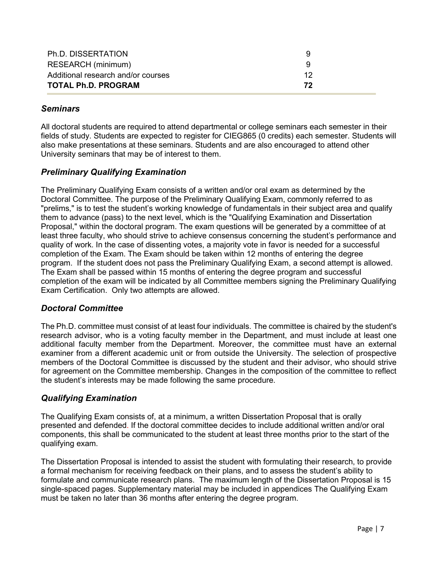| Ph.D. DISSERTATION                 | 9  |
|------------------------------------|----|
| RESEARCH (minimum)                 | q  |
| Additional research and/or courses | 12 |
| <b>TOTAL Ph.D. PROGRAM</b>         | 72 |

## *Seminars*

All doctoral students are required to attend departmental or college seminars each semester in their fields of study. Students are expected to register for CIEG865 (0 credits) each semester. Students will also make presentations at these seminars. Students and are also encouraged to attend other University seminars that may be of interest to them.

## *Preliminary Qualifying Examination*

The Preliminary Qualifying Exam consists of a written and/or oral exam as determined by the Doctoral Committee. The purpose of the Preliminary Qualifying Exam, commonly referred to as "prelims," is to test the student's working knowledge of fundamentals in their subject area and qualify them to advance (pass) to the next level, which is the "Qualifying Examination and Dissertation Proposal," within the doctoral program. The exam questions will be generated by a committee of at least three faculty, who should strive to achieve consensus concerning the student's performance and quality of work. In the case of dissenting votes, a majority vote in favor is needed for a successful completion of the Exam. The Exam should be taken within 12 months of entering the degree program. If the student does not pass the Preliminary Qualifying Exam, a second attempt is allowed. The Exam shall be passed within 15 months of entering the degree program and successful completion of the exam will be indicated by all Committee members signing the Preliminary Qualifying Exam Certification. Only two attempts are allowed.

## *Doctoral Committee*

The Ph.D. committee must consist of at least four individuals. The committee is chaired by the student's research advisor, who is a voting faculty member in the Department, and must include at least one additional faculty member from the Department. Moreover, the committee must have an external examiner from a different academic unit or from outside the University. The selection of prospective members of the Doctoral Committee is discussed by the student and their advisor, who should strive for agreement on the Committee membership. Changes in the composition of the committee to reflect the student's interests may be made following the same procedure.

## *Qualifying Examination*

The Qualifying Exam consists of, at a minimum, a written Dissertation Proposal that is orally presented and defended. If the doctoral committee decides to include additional written and/or oral components, this shall be communicated to the student at least three months prior to the start of the qualifying exam.

The Dissertation Proposal is intended to assist the student with formulating their research, to provide a formal mechanism for receiving feedback on their plans, and to assess the student's ability to formulate and communicate research plans. The maximum length of the Dissertation Proposal is 15 single-spaced pages. Supplementary material may be included in appendices The Qualifying Exam must be taken no later than 36 months after entering the degree program.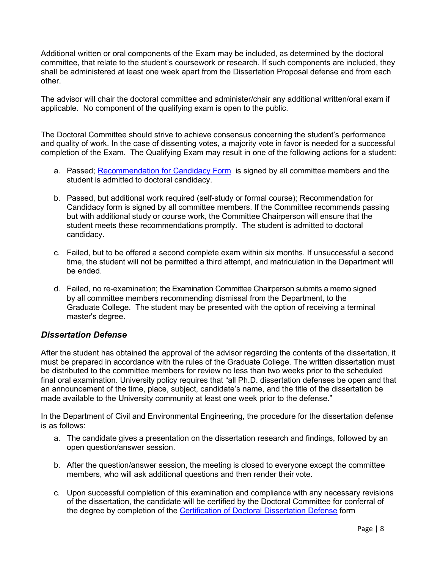Additional written or oral components of the Exam may be included, as determined by the doctoral committee, that relate to the student's coursework or research. If such components are included, they shall be administered at least one week apart from the Dissertation Proposal defense and from each other.

The advisor will chair the doctoral committee and administer/chair any additional written/oral exam if applicable. No component of the qualifying exam is open to the public.

The Doctoral Committee should strive to achieve consensus concerning the student's performance and quality of work. In the case of dissenting votes, a majority vote in favor is needed for a successful completion of the Exam. The Qualifying Exam may result in one of the following actions for a student:

- a. Passed; [Recommendation for Candidacy Form](https://www1.udel.edu/gradoffice/forms-new/Doctoral_Degree_Recommendation.pdf) is signed by all committee members and the student is admitted to doctoral candidacy.
- b. Passed, but additional work required (self-study or formal course); Recommendation for Candidacy form is signed by all committee members. If the Committee recommends passing but with additional study or course work, the Committee Chairperson will ensure that the student meets these recommendations promptly. The student is admitted to doctoral candidacy.
- c. Failed, but to be offered a second complete exam within six months. If unsuccessful a second time, the student will not be permitted a third attempt, and matriculation in the Department will be ended.
- d. Failed, no re-examination; the Examination Committee Chairperson submits a memo signed by all committee members recommending dismissal from the Department, to the Graduate College. The student may be presented with the option of receiving a terminal master's degree.

## *Dissertation Defense*

After the student has obtained the approval of the advisor regarding the contents of the dissertation, it must be prepared in accordance with the rules of the Graduate College. The written dissertation must be distributed to the committee members for review no less than two weeks prior to the scheduled final oral examination. University policy requires that "all Ph.D. dissertation defenses be open and that an announcement of the time, place, subject, candidate's name, and the title of the dissertation be made available to the University community at least one week prior to the defense."

In the Department of Civil and Environmental Engineering, the procedure for the dissertation defense is as follows:

- a. The candidate gives a presentation on the dissertation research and findings, followed by an open question/answer session.
- b. After the question/answer session, the meeting is closed to everyone except the committee members, who will ask additional questions and then render their vote.
- c. Upon successful completion of this examination and compliance with any necessary revisions of the dissertation, the candidate will be certified by the Doctoral Committee for conferral of the degree by completion of the [Certification of Doctoral Dissertation](http://www.udel.edu/gradoffice/forms/certificationdefense.pdf) [Defense](http://www.udel.edu/gradoffice/forms/certificationdefense.pdf) form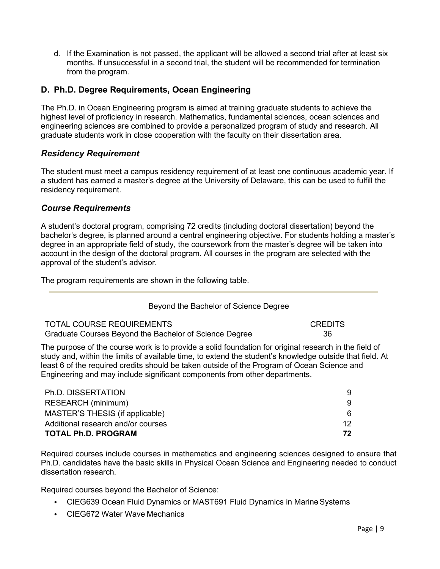d. If the Examination is not passed, the applicant will be allowed a second trial after at least six months. If unsuccessful in a second trial, the student will be recommended for termination from the program.

## **D. Ph.D. Degree Requirements, Ocean Engineering**

The Ph.D. in Ocean Engineering program is aimed at training graduate students to achieve the highest level of proficiency in research. Mathematics, fundamental sciences, ocean sciences and engineering sciences are combined to provide a personalized program of study and research. All graduate students work in close cooperation with the faculty on their dissertation area.

## *Residency Requirement*

The student must meet a campus residency requirement of at least one continuous academic year. If a student has earned a master's degree at the University of Delaware, this can be used to fulfill the residency requirement.

#### *Course Requirements*

A student's doctoral program, comprising 72 credits (including doctoral dissertation) beyond the bachelor's degree, is planned around a central engineering objective. For students holding a master's degree in an appropriate field of study, the coursework from the master's degree will be taken into account in the design of the doctoral program. All courses in the program are selected with the approval of the student's advisor.

The program requirements are shown in the following table.

#### Beyond the Bachelor of Science Degree

| TOTAL COURSE REQUIREMENTS                              | <b>CREDITS</b> |
|--------------------------------------------------------|----------------|
| Graduate Courses Beyond the Bachelor of Science Degree | 36             |

The purpose of the course work is to provide a solid foundation for original research in the field of study and, within the limits of available time, to extend the student's knowledge outside that field. At least 6 of the required credits should be taken outside of the Program of Ocean Science and Engineering and may include significant components from other departments.

| Ph.D. DISSERTATION                 |    |
|------------------------------------|----|
| RESEARCH (minimum)                 |    |
| MASTER'S THESIS (if applicable)    | 6  |
| Additional research and/or courses | 12 |
| <b>TOTAL Ph.D. PROGRAM</b>         | 72 |

Required courses include courses in mathematics and engineering sciences designed to ensure that Ph.D. candidates have the basic skills in Physical Ocean Science and Engineering needed to conduct dissertation research.

Required courses beyond the Bachelor of Science:

- CIEG639 Ocean Fluid Dynamics or MAST691 Fluid Dynamics in Marine Systems
- CIEG672 Water Wave Mechanics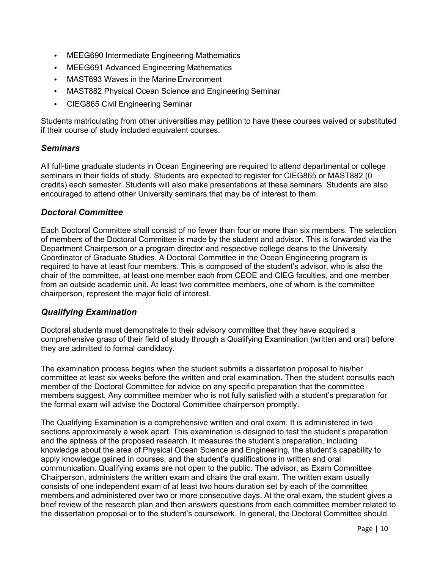- MEEG690 Intermediate Engineering Mathematics
- MEEG691 Advanced Engineering Mathematics
- MAST693 Waves in the Marine Environment
- MAST882 Physical Ocean Science and Engineering Seminar
- CIEG865 Civil Engineering Seminar

Students matriculating from other universities may petition to have these courses waived or substituted if their course of study included equivalent courses.

#### *Seminars*

All full-time graduate students in Ocean Engineering are required to attend departmental or college seminars in their fields of study. Students are expected to register for CIEG865 or MAST882 (0 credits) each semester. Students will also make presentations at these seminars. Students are also encouraged to attend other University seminars that may be of interest to them.

#### *Doctoral Committee*

Each Doctoral Committee shall consist of no fewer than four or more than six members. The selection of members of the Doctoral Committee is made by the student and advisor. This is forwarded via the Department Chairperson or a program director and respective college deans to the University Coordinator of Graduate Studies. A Doctoral Committee in the Ocean Engineering program is required to have at least four members. This is composed of the student's advisor, who is also the chair of the committee, at least one member each from CEOE and CIEG faculties, and one member from an outside academic unit. At least two committee members, one of whom is the committee chairperson, represent the major field of interest.

#### *Qualifying Examination*

Doctoral students must demonstrate to their advisory committee that they have acquired a comprehensive grasp of their field of study through a Qualifying Examination (written and oral) before they are admitted to formal candidacy.

The examination process begins when the student submits a dissertation proposal to his/her committee at least six weeks before the written and oral examination. Then the student consults each member of the Doctoral Committee for advice on any specific preparation that the committee members suggest. Any committee member who is not fully satisfied with a student's preparation for the formal exam will advise the Doctoral Committee chairperson promptly.

The Qualifying Examination is a comprehensive written and oral exam. It is administered in two sections approximately a week apart. This examination is designed to test the student's preparation and the aptness of the proposed research. It measures the student's preparation, including knowledge about the area of Physical Ocean Science and Engineering, the student's capability to apply knowledge gained in courses, and the student's qualifications in written and oral communication. Qualifying exams are not open to the public. The advisor, as Exam Committee Chairperson, administers the written exam and chairs the oral exam. The written exam usually consists of one independent exam of at least two hours duration set by each of the committee members and administered over two or more consecutive days. At the oral exam, the student gives a brief review of the research plan and then answers questions from each committee member related to the dissertation proposal or to the student's coursework. In general, the Doctoral Committee should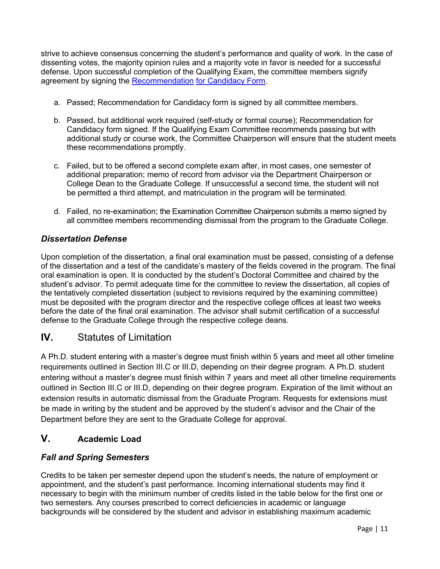strive to achieve consensus concerning the student's performance and quality of work. In the case of dissenting votes, the majority opinion rules and a majority vote in favor is needed for a successful defense. Upon successful completion of the Qualifying Exam, the committee members signify agreement by signing the [Recommendation](http://www.udel.edu/gradoffice/forms/candidacyform.pdf) [for Candidacy](http://www.udel.edu/gradoffice/forms/candidacyform.pdf) Form.

- a. Passed; Recommendation for Candidacy form is signed by all committee members.
- b. Passed, but additional work required (self-study or formal course); Recommendation for Candidacy form signed. If the Qualifying Exam Committee recommends passing but with additional study or course work, the Committee Chairperson will ensure that the student meets these recommendations promptly.
- c. Failed, but to be offered a second complete exam after, in most cases, one semester of additional preparation; memo of record from advisor via the Department Chairperson or College Dean to the Graduate College. If unsuccessful a second time, the student will not be permitted a third attempt, and matriculation in the program will be terminated.
- d. Failed, no re-examination; the Examination Committee Chairperson submits a memo signed by all committee members recommending dismissal from the program to the Graduate College.

## *Dissertation Defense*

Upon completion of the dissertation, a final oral examination must be passed, consisting of a defense of the dissertation and a test of the candidate's mastery of the fields covered in the program. The final oral examination is open. It is conducted by the student's Doctoral Committee and chaired by the student's advisor. To permit adequate time for the committee to review the dissertation, all copies of the tentatively completed dissertation (subject to revisions required by the examining committee) must be deposited with the program director and the respective college offices at least two weeks before the date of the final oral examination. The advisor shall submit certification of a successful defense to the Graduate College through the respective college deans.

# **IV.** Statutes of Limitation

A Ph.D. student entering with a master's degree must finish within 5 years and meet all other timeline requirements outlined in Section III.C or III.D, depending on their degree program. A Ph.D. student entering without a master's degree must finish within 7 years and meet all other timeline requirements outlined in Section III.C or III.D, depending on their degree program. Expiration of the limit without an extension results in automatic dismissal from the Graduate Program. Requests for extensions must be made in writing by the student and be approved by the student's advisor and the Chair of the Department before they are sent to the Graduate College for approval.

# **V. Academic Load**

## *Fall and Spring Semesters*

Credits to be taken per semester depend upon the student's needs, the nature of employment or appointment, and the student's past performance. Incoming international students may find it necessary to begin with the minimum number of credits listed in the table below for the first one or two semesters. Any courses prescribed to correct deficiencies in academic or language backgrounds will be considered by the student and advisor in establishing maximum academic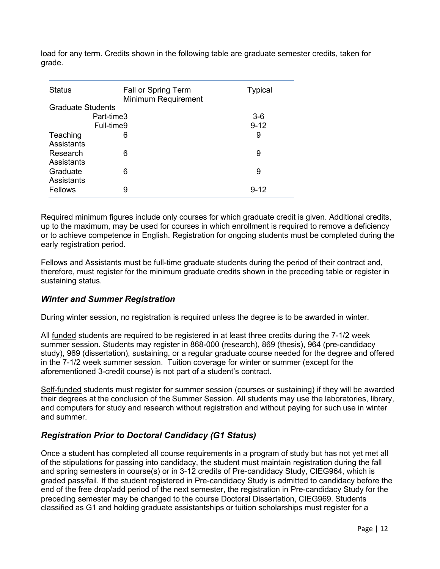load for any term. Credits shown in the following table are graduate semester credits, taken for grade.

| <b>Status</b>                 | Fall or Spring Term<br>Minimum Requirement | <b>Typical</b> |
|-------------------------------|--------------------------------------------|----------------|
| <b>Graduate Students</b>      |                                            |                |
|                               | Part-time3                                 | $3-6$          |
|                               | Full-time9                                 | $9 - 12$       |
| Teaching<br><b>Assistants</b> | 6                                          | 9              |
| Research<br>Assistants        | 6                                          | 9              |
| Graduate<br>Assistants        | 6                                          | 9              |
| Fellows                       | 9                                          | $9 - 12$       |

Required minimum figures include only courses for which graduate credit is given. Additional credits, up to the maximum, may be used for courses in which enrollment is required to remove a deficiency or to achieve competence in English. Registration for ongoing students must be completed during the early registration period.

Fellows and Assistants must be full-time graduate students during the period of their contract and, therefore, must register for the minimum graduate credits shown in the preceding table or register in sustaining status.

## *Winter and Summer Registration*

During winter session, no registration is required unless the degree is to be awarded in winter.

All funded students are required to be registered in at least three credits during the 7-1/2 week summer session. Students may register in 868-000 (research), 869 (thesis), 964 (pre-candidacy study), 969 (dissertation), sustaining, or a regular graduate course needed for the degree and offered in the 7-1/2 week summer session. Tuition coverage for winter or summer (except for the aforementioned 3-credit course) is not part of a student's contract.

Self-funded students must register for summer session (courses or sustaining) if they will be awarded their degrees at the conclusion of the Summer Session. All students may use the laboratories, library, and computers for study and research without registration and without paying for such use in winter and summer.

## *Registration Prior to Doctoral Candidacy (G1 Status)*

Once a student has completed all course requirements in a program of study but has not yet met all of the stipulations for passing into candidacy, the student must maintain registration during the fall and spring semesters in course(s) or in 3-12 credits of Pre-candidacy Study, CIEG964, which is graded pass/fail. If the student registered in Pre-candidacy Study is admitted to candidacy before the end of the free drop/add period of the next semester, the registration in Pre-candidacy Study for the preceding semester may be changed to the course Doctoral Dissertation, CIEG969. Students classified as G1 and holding graduate assistantships or tuition scholarships must register for a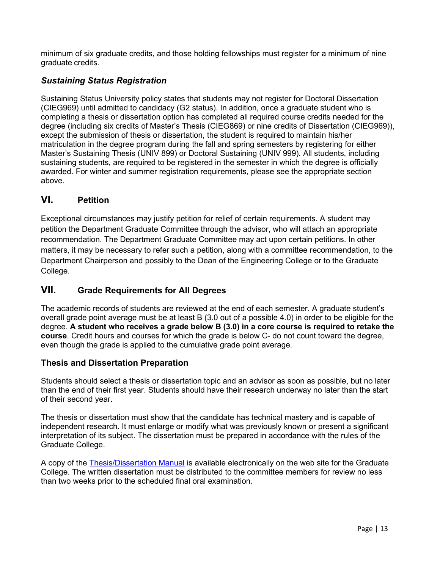minimum of six graduate credits, and those holding fellowships must register for a minimum of nine graduate credits.

## *Sustaining Status Registration*

Sustaining Status University policy states that students may not register for Doctoral Dissertation (CIEG969) until admitted to candidacy (G2 status). In addition, once a graduate student who is completing a thesis or dissertation option has completed all required course credits needed for the degree (including six credits of Master's Thesis (CIEG869) or nine credits of Dissertation (CIEG969)), except the submission of thesis or dissertation, the student is required to maintain his/her matriculation in the degree program during the fall and spring semesters by registering for either Master's Sustaining Thesis (UNIV 899) or Doctoral Sustaining (UNIV 999). All students, including sustaining students, are required to be registered in the semester in which the degree is officially awarded. For winter and summer registration requirements, please see the appropriate section above.

# **VI. Petition**

Exceptional circumstances may justify petition for relief of certain requirements. A student may petition the Department Graduate Committee through the advisor, who will attach an appropriate recommendation. The Department Graduate Committee may act upon certain petitions. In other matters, it may be necessary to refer such a petition, along with a committee recommendation, to the Department Chairperson and possibly to the Dean of the Engineering College or to the Graduate College.

## **VII. Grade Requirements for All Degrees**

The academic records of students are reviewed at the end of each semester. A graduate student's overall grade point average must be at least B (3.0 out of a possible 4.0) in order to be eligible for the degree. **A student who receives a grade below B (3.0) in a core course is required to retake the course**. Credit hours and courses for which the grade is below C- do not count toward the degree, even though the grade is applied to the cumulative grade point average.

## **Thesis and Dissertation Preparation**

Students should select a thesis or dissertation topic and an advisor as soon as possible, but no later than the end of their first year. Students should have their research underway no later than the start of their second year.

The thesis or dissertation must show that the candidate has technical mastery and is capable of independent research. It must enlarge or modify what was previously known or present a significant interpretation of its subject. The dissertation must be prepared in accordance with the rules of the Graduate College.

A copy of the [Thesis/Dissertation Manual](http://www.udel.edu/gradoffice/forms/thesismanual.pdf) is available electronically on the web site for the Graduate College. The written dissertation must be distributed to the committee members for review no less than two weeks prior to the scheduled final oral examination.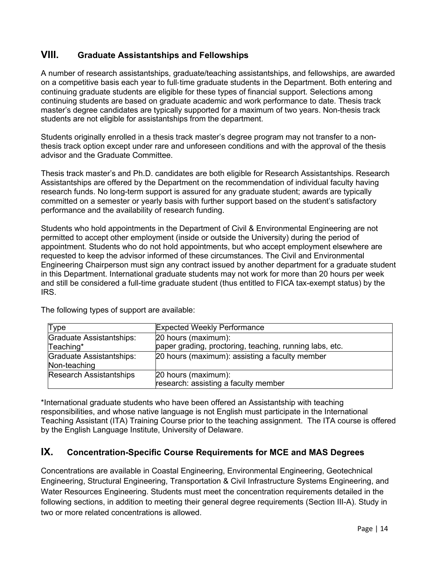## **VIII. Graduate Assistantships and Fellowships**

A number of research assistantships, graduate/teaching assistantships, and fellowships, are awarded on a competitive basis each year to full‐time graduate students in the Department. Both entering and continuing graduate students are eligible for these types of financial support. Selections among continuing students are based on graduate academic and work performance to date. Thesis track master's degree candidates are typically supported for a maximum of two years. Non-thesis track students are not eligible for assistantships from the department.

Students originally enrolled in a thesis track master's degree program may not transfer to a nonthesis track option except under rare and unforeseen conditions and with the approval of the thesis advisor and the Graduate Committee.

Thesis track master's and Ph.D. candidates are both eligible for Research Assistantships. Research Assistantships are offered by the Department on the recommendation of individual faculty having research funds. No long-term support is assured for any graduate student; awards are typically committed on a semester or yearly basis with further support based on the student's satisfactory performance and the availability of research funding.

Students who hold appointments in the Department of Civil & Environmental Engineering are not permitted to accept other employment (inside or outside the University) during the period of appointment. Students who do not hold appointments, but who accept employment elsewhere are requested to keep the advisor informed of these circumstances. The Civil and Environmental Engineering Chairperson must sign any contract issued by another department for a graduate student in this Department. International graduate students may not work for more than 20 hours per week and still be considered a full-time graduate student (thus entitled to FICA tax-exempt status) by the IRS.

| <b>Type</b>                     | <b>Expected Weekly Performance</b>                      |
|---------------------------------|---------------------------------------------------------|
| <b>Graduate Assistantships:</b> | 20 hours (maximum):                                     |
| Teaching*                       | paper grading, proctoring, teaching, running labs, etc. |
| Graduate Assistantships:        | 20 hours (maximum): assisting a faculty member          |
| Non-teaching                    |                                                         |
| <b>Research Assistantships</b>  | 20 hours (maximum):                                     |
|                                 | research: assisting a faculty member                    |

The following types of support are available:

\*International graduate students who have been offered an Assistantship with teaching responsibilities, and whose native language is not English must participate in the International Teaching Assistant (ITA) Training Course prior to the teaching assignment. The ITA course is offered by the English Language Institute, University of Delaware.

## **IX. Concentration-Specific Course Requirements for MCE and MAS Degrees**

Concentrations are available in Coastal Engineering, Environmental Engineering, Geotechnical Engineering, Structural Engineering, Transportation & Civil Infrastructure Systems Engineering, and Water Resources Engineering. Students must meet the concentration requirements detailed in the following sections, in addition to meeting their general degree requirements (Section III-A). Study in two or more related concentrations is allowed.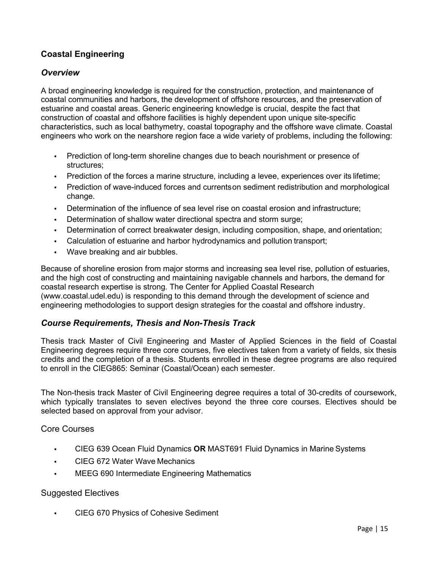## **Coastal Engineering**

#### *Overview*

A broad engineering knowledge is required for the construction, protection, and maintenance of coastal communities and harbors, the development of offshore resources, and the preservation of estuarine and coastal areas. Generic engineering knowledge is crucial, despite the fact that construction of coastal and offshore facilities is highly dependent upon unique site-specific characteristics, such as local bathymetry, coastal topography and the offshore wave climate. Coastal engineers who work on the nearshore region face a wide variety of problems, including the following:

- Prediction of long-term shoreline changes due to beach nourishment or presence of structures;
- Prediction of the forces a marine structure, including a levee, experiences over its lifetime;
- Prediction of wave-induced forces and currentson sediment redistribution and morphological change.
- Determination of the influence of sea level rise on coastal erosion and infrastructure;
- Determination of shallow water directional spectra and storm surge;
- Determination of correct breakwater design, including composition, shape, and orientation;
- Calculation of estuarine and harbor hydrodynamics and pollution transport;
- Wave breaking and air bubbles.

Because of shoreline erosion from major storms and increasing sea level rise, pollution of estuaries, and the high cost of constructing and maintaining navigable channels and harbors, the demand for coastal research expertise is strong. The Center for Applied Coastal Research (www.coastal.udel.edu) is responding to this demand through the development of science and engineering methodologies to support design strategies for the coastal and offshore industry.

## *Course Requirements, Thesis and Non-Thesis Track*

Thesis track Master of Civil Engineering and Master of Applied Sciences in the field of Coastal Engineering degrees require three core courses, five electives taken from a variety of fields, six thesis credits and the completion of a thesis. Students enrolled in these degree programs are also required to enroll in the CIEG865: Seminar (Coastal/Ocean) each semester.

The Non-thesis track Master of Civil Engineering degree requires a total of 30-credits of coursework, which typically translates to seven electives beyond the three core courses. Electives should be selected based on approval from your advisor.

Core Courses

- CIEG 639 Ocean Fluid Dynamics **OR** MAST691 Fluid Dynamics in Marine Systems
- CIEG 672 Water Wave Mechanics
- MEEG 690 Intermediate Engineering Mathematics

#### Suggested Electives

• CIEG 670 Physics of Cohesive Sediment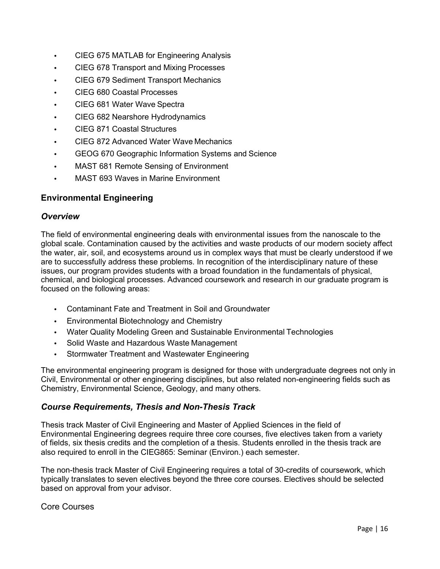- CIEG 675 MATLAB for Engineering Analysis
- CIEG 678 Transport and Mixing Processes
- CIEG 679 Sediment Transport Mechanics
- CIEG 680 Coastal Processes
- CIEG 681 Water Wave Spectra
- CIEG 682 Nearshore Hydrodynamics
- CIEG 871 Coastal Structures
- CIEG 872 Advanced Water Wave Mechanics
- GEOG 670 Geographic Information Systems and Science
- MAST 681 Remote Sensing of Environment
- MAST 693 Waves in Marine Environment

## **Environmental Engineering**

#### *Overview*

The field of environmental engineering deals with environmental issues from the nanoscale to the global scale. Contamination caused by the activities and waste products of our modern society affect the water, air, soil, and ecosystems around us in complex ways that must be clearly understood if we are to successfully address these problems. In recognition of the interdisciplinary nature of these issues, our program provides students with a broad foundation in the fundamentals of physical, chemical, and biological processes. Advanced coursework and research in our graduate program is focused on the following areas:

- Contaminant Fate and Treatment in Soil and Groundwater
- Environmental Biotechnology and Chemistry
- Water Quality Modeling Green and Sustainable Environmental Technologies
- Solid Waste and Hazardous Waste Management
- Stormwater Treatment and Wastewater Engineering

The environmental engineering program is designed for those with undergraduate degrees not only in Civil, Environmental or other engineering disciplines, but also related non-engineering fields such as Chemistry, Environmental Science, Geology, and many others.

#### *Course Requirements, Thesis and Non-Thesis Track*

Thesis track Master of Civil Engineering and Master of Applied Sciences in the field of Environmental Engineering degrees require three core courses, five electives taken from a variety of fields, six thesis credits and the completion of a thesis. Students enrolled in the thesis track are also required to enroll in the CIEG865: Seminar (Environ.) each semester.

The non-thesis track Master of Civil Engineering requires a total of 30-credits of coursework, which typically translates to seven electives beyond the three core courses. Electives should be selected based on approval from your advisor.

Core Courses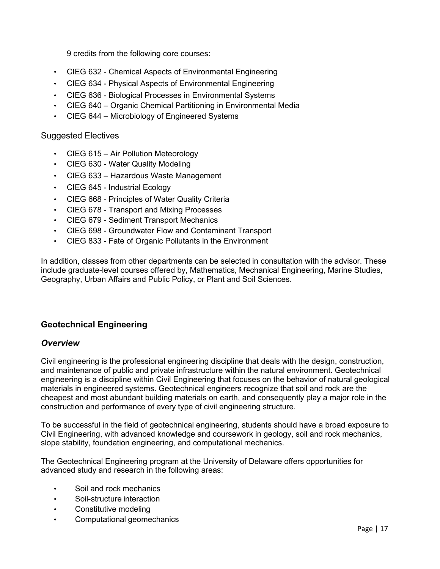9 credits from the following core courses:

- CIEG 632 Chemical Aspects of Environmental Engineering
- CIEG 634 Physical Aspects of Environmental Engineering
- CIEG 636 Biological Processes in Environmental Systems
- CIEG 640 Organic Chemical Partitioning in Environmental Media
- CIEG 644 Microbiology of Engineered Systems

#### Suggested Electives

- CIEG 615 Air Pollution Meteorology
- CIEG 630 Water Quality Modeling
- CIEG 633 Hazardous Waste Management
- CIEG 645 Industrial Ecology
- CIEG 668 Principles of Water Quality Criteria
- CIEG 678 Transport and Mixing Processes
- CIEG 679 Sediment Transport Mechanics
- CIEG 698 Groundwater Flow and Contaminant Transport
- CIEG 833 Fate of Organic Pollutants in the Environment

In addition, classes from other departments can be selected in consultation with the advisor. These include graduate-level courses offered by, Mathematics, Mechanical Engineering, Marine Studies, Geography, Urban Affairs and Public Policy, or Plant and Soil Sciences.

## **Geotechnical Engineering**

#### *Overview*

Civil engineering is the professional engineering discipline that deals with the design, construction, and maintenance of public and private infrastructure within the natural environment. Geotechnical engineering is a discipline within Civil Engineering that focuses on the behavior of natural geological materials in engineered systems. Geotechnical engineers recognize that soil and rock are the cheapest and most abundant building materials on earth, and consequently play a major role in the construction and performance of every type of civil engineering structure.

To be successful in the field of geotechnical engineering, students should have a broad exposure to Civil Engineering, with advanced knowledge and coursework in geology, soil and rock mechanics, slope stability, foundation engineering, and computational mechanics.

The Geotechnical Engineering program at the University of Delaware offers opportunities for advanced study and research in the following areas:

- Soil and rock mechanics
- Soil-structure interaction
- Constitutive modeling
- Computational geomechanics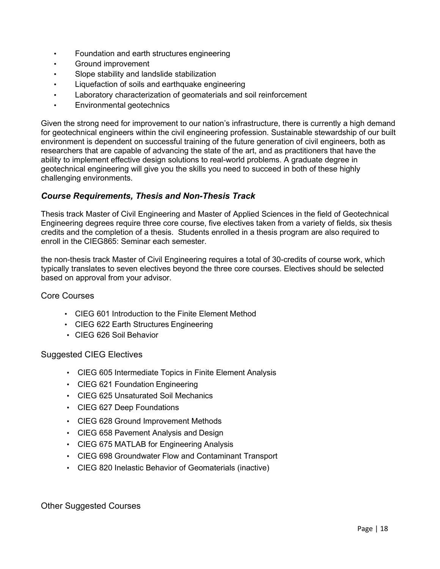- Foundation and earth structures engineering
- Ground improvement
- Slope stability and landslide stabilization
- Liquefaction of soils and earthquake engineering
- Laboratory characterization of geomaterials and soil reinforcement
- Environmental geotechnics

Given the strong need for improvement to our nation's infrastructure, there is currently a high demand for geotechnical engineers within the civil engineering profession. Sustainable stewardship of our built environment is dependent on successful training of the future generation of civil engineers, both as researchers that are capable of advancing the state of the art, and as practitioners that have the ability to implement effective design solutions to real-world problems. A graduate degree in geotechnical engineering will give you the skills you need to succeed in both of these highly challenging environments.

## *Course Requirements, Thesis and Non-Thesis Track*

Thesis track Master of Civil Engineering and Master of Applied Sciences in the field of Geotechnical Engineering degrees require three core course, five electives taken from a variety of fields, six thesis credits and the completion of a thesis. Students enrolled in a thesis program are also required to enroll in the CIEG865: Seminar each semester.

the non-thesis track Master of Civil Engineering requires a total of 30-credits of course work, which typically translates to seven electives beyond the three core courses. Electives should be selected based on approval from your advisor.

Core Courses

- CIEG 601 Introduction to the Finite Element Method
- CIEG 622 Earth Structures Engineering
- CIEG 626 Soil Behavior

Suggested CIEG Electives

- CIEG 605 Intermediate Topics in Finite Element Analysis
- CIEG 621 Foundation Engineering
- CIEG 625 Unsaturated Soil Mechanics
- CIEG 627 Deep Foundations
- CIEG 628 Ground Improvement Methods
- CIEG 658 Pavement Analysis and Design
- CIEG 675 MATLAB for Engineering Analysis
- CIEG 698 Groundwater Flow and Contaminant Transport
- CIEG 820 Inelastic Behavior of Geomaterials (inactive)

Other Suggested Courses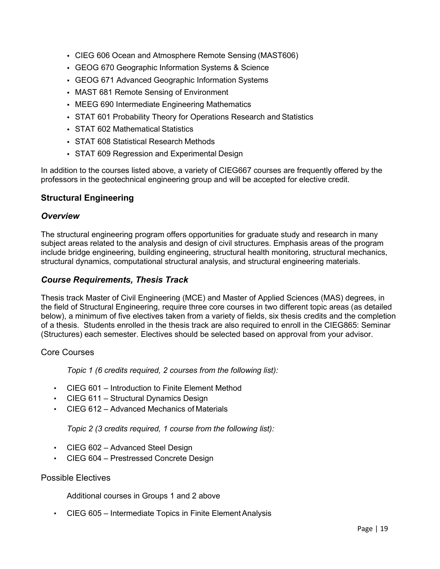- CIEG 606 Ocean and Atmosphere Remote Sensing (MAST606)
- GEOG 670 Geographic Information Systems & Science
- GEOG 671 Advanced Geographic Information Systems
- MAST 681 Remote Sensing of Environment
- MEEG 690 Intermediate Engineering Mathematics
- STAT 601 Probability Theory for Operations Research and Statistics
- STAT 602 Mathematical Statistics
- STAT 608 Statistical Research Methods
- STAT 609 Regression and Experimental Design

In addition to the courses listed above, a variety of CIEG667 courses are frequently offered by the professors in the geotechnical engineering group and will be accepted for elective credit.

#### **Structural Engineering**

#### *Overview*

The structural engineering program offers opportunities for graduate study and research in many subject areas related to the analysis and design of civil structures. Emphasis areas of the program include bridge engineering, building engineering, structural health monitoring, structural mechanics, structural dynamics, computational structural analysis, and structural engineering materials.

#### *Course Requirements, Thesis Track*

Thesis track Master of Civil Engineering (MCE) and Master of Applied Sciences (MAS) degrees, in the field of Structural Engineering, require three core courses in two different topic areas (as detailed below), a minimum of five electives taken from a variety of fields, six thesis credits and the completion of a thesis. Students enrolled in the thesis track are also required to enroll in the CIEG865: Seminar (Structures) each semester. Electives should be selected based on approval from your advisor.

#### Core Courses

*Topic 1 (6 credits required, 2 courses from the following list):*

- CIEG 601 Introduction to Finite Element Method
- CIEG 611 Structural Dynamics Design
- CIEG 612 Advanced Mechanics of Materials

#### *Topic 2 (3 credits required, 1 course from the following list):*

- CIEG 602 Advanced Steel Design
- CIEG 604 Prestressed Concrete Design

#### Possible Electives

Additional courses in Groups 1 and 2 above

• CIEG 605 – Intermediate Topics in Finite Element Analysis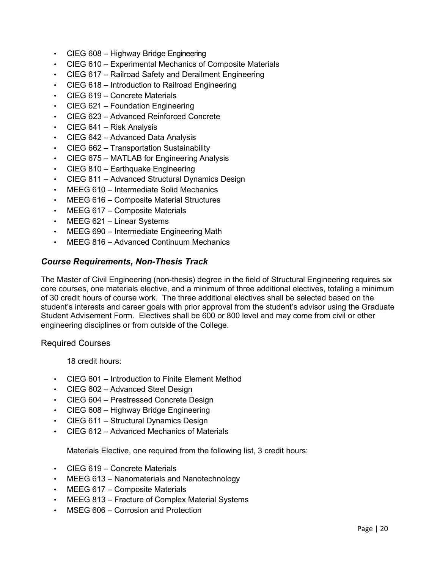- CIEG 608 Highway Bridge Engineering
- CIEG 610 Experimental Mechanics of Composite Materials
- CIEG 617 Railroad Safety and Derailment Engineering
- CIEG 618 Introduction to Railroad Engineering
- CIEG 619 Concrete Materials
- CIEG 621 Foundation Engineering
- CIEG 623 Advanced Reinforced Concrete
- CIEG 641 Risk Analysis
- CIEG 642 Advanced Data Analysis
- CIEG 662 Transportation Sustainability
- CIEG 675 MATLAB for Engineering Analysis
- CIEG 810 Earthquake Engineering
- CIEG 811 Advanced Structural Dynamics Design
- MEEG 610 Intermediate Solid Mechanics
- MEEG 616 Composite Material Structures
- MEEG 617 Composite Materials
- MEEG 621 Linear Systems
- MEEG 690 Intermediate Engineering Math
- MEEG 816 Advanced Continuum Mechanics

#### *Course Requirements, Non-Thesis Track*

The Master of Civil Engineering (non-thesis) degree in the field of Structural Engineering requires six core courses, one materials elective, and a minimum of three additional electives, totaling a minimum of 30 credit hours of course work. The three additional electives shall be selected based on the student's interests and career goals with prior approval from the student's advisor using the Graduate Student Advisement Form. Electives shall be 600 or 800 level and may come from civil or other engineering disciplines or from outside of the College.

#### Required Courses

18 credit hours:

- CIEG 601 Introduction to Finite Element Method
- CIEG 602 Advanced Steel Design
- CIEG 604 Prestressed Concrete Design
- CIEG 608 Highway Bridge Engineering
- CIEG 611 Structural Dynamics Design
- CIEG 612 Advanced Mechanics of Materials

Materials Elective, one required from the following list, 3 credit hours:

- CIEG 619 Concrete Materials
- MEEG 613 Nanomaterials and Nanotechnology
- MEEG 617 Composite Materials
- MEEG 813 Fracture of Complex Material Systems
- MSEG 606 Corrosion and Protection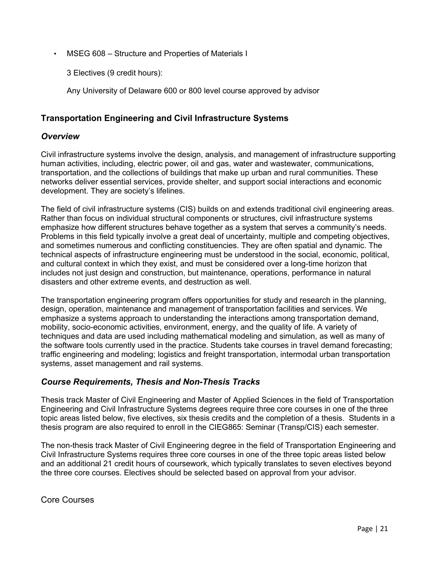• MSEG 608 – Structure and Properties of Materials I

3 Electives (9 credit hours):

Any University of Delaware 600 or 800 level course approved by advisor

## **Transportation Engineering and Civil Infrastructure Systems**

#### *Overview*

Civil infrastructure systems involve the design, analysis, and management of infrastructure supporting human activities, including, electric power, oil and gas, water and wastewater, communications, transportation, and the collections of buildings that make up urban and rural communities. These networks deliver essential services, provide shelter, and support social interactions and economic development. They are society's lifelines.

The field of civil infrastructure systems (CIS) builds on and extends traditional civil engineering areas. Rather than focus on individual structural components or structures, civil infrastructure systems emphasize how different structures behave together as a system that serves a community's needs. Problems in this field typically involve a great deal of uncertainty, multiple and competing objectives, and sometimes numerous and conflicting constituencies. They are often spatial and dynamic. The technical aspects of infrastructure engineering must be understood in the social, economic, political, and cultural context in which they exist, and must be considered over a long-time horizon that includes not just design and construction, but maintenance, operations, performance in natural disasters and other extreme events, and destruction as well.

The transportation engineering program offers opportunities for study and research in the planning, design, operation, maintenance and management of transportation facilities and services. We emphasize a systems approach to understanding the interactions among transportation demand, mobility, socio-economic activities, environment, energy, and the quality of life. A variety of techniques and data are used including mathematical modeling and simulation, as well as many of the software tools currently used in the practice. Students take courses in travel demand forecasting; traffic engineering and modeling; logistics and freight transportation, intermodal urban transportation systems, asset management and rail systems.

## *Course Requirements, Thesis and Non-Thesis Tracks*

Thesis track Master of Civil Engineering and Master of Applied Sciences in the field of Transportation Engineering and Civil Infrastructure Systems degrees require three core courses in one of the three topic areas listed below, five electives, six thesis credits and the completion of a thesis. Students in a thesis program are also required to enroll in the CIEG865: Seminar (Transp/CIS) each semester.

The non-thesis track Master of Civil Engineering degree in the field of Transportation Engineering and Civil Infrastructure Systems requires three core courses in one of the three topic areas listed below and an additional 21 credit hours of coursework, which typically translates to seven electives beyond the three core courses. Electives should be selected based on approval from your advisor.

Core Courses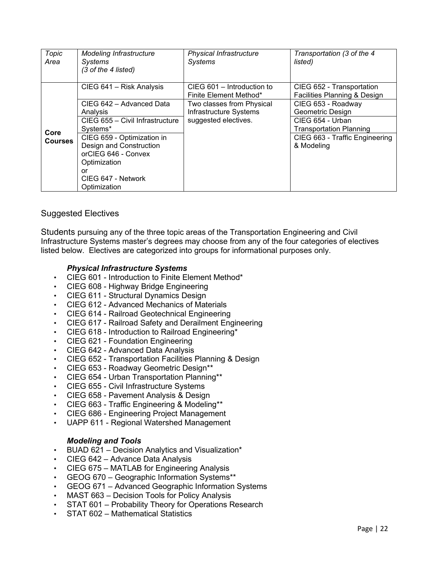| Topic<br>Area  | <b>Modeling Infrastructure</b><br>Systems<br>(3 of the 4 listed)             | <b>Physical Infrastructure</b><br><b>Systems</b>     | Transportation (3 of the 4<br>listed)                     |
|----------------|------------------------------------------------------------------------------|------------------------------------------------------|-----------------------------------------------------------|
|                | CIEG 641 - Risk Analysis                                                     | CIEG 601 - Introduction to<br>Finite Element Method* | CIEG 652 - Transportation<br>Facilities Planning & Design |
|                | CIEG 642 - Advanced Data<br>Analysis                                         | Two classes from Physical<br>Infrastructure Systems  | CIEG 653 - Roadway<br>Geometric Design                    |
| Core           | CIEG 655 - Civil Infrastructure<br>Systems*                                  | suggested electives.                                 | CIEG 654 - Urban<br><b>Transportation Planning</b>        |
| <b>Courses</b> | CIEG 659 - Optimization in<br>Design and Construction<br>orCIEG 646 - Convex |                                                      | CIEG 663 - Traffic Engineering<br>& Modeling              |
|                | Optimization                                                                 |                                                      |                                                           |
|                | or<br>CIEG 647 - Network<br>Optimization                                     |                                                      |                                                           |

#### Suggested Electives

Students pursuing any of the three topic areas of the Transportation Engineering and Civil Infrastructure Systems master's degrees may choose from any of the four categories of electives listed below. Electives are categorized into groups for informational purposes only.

#### *Physical Infrastructure Systems*

- CIEG 601 Introduction to Finite Element Method\*
- CIEG 608 Highway Bridge Engineering
- CIEG 611 Structural Dynamics Design
- CIEG 612 Advanced Mechanics of Materials
- CIEG 614 Railroad Geotechnical Engineering
- CIEG 617 Railroad Safety and Derailment Engineering
- CIEG 618 Introduction to Railroad Engineering\*
- CIEG 621 Foundation Engineering
- CIEG 642 Advanced Data Analysis
- CIEG 652 Transportation Facilities Planning & Design
- CIEG 653 Roadway Geometric Design\*\*
- CIEG 654 Urban Transportation Planning\*\*
- CIEG 655 Civil Infrastructure Systems
- CIEG 658 Pavement Analysis & Design
- CIEG 663 Traffic Engineering & Modeling\*\*
- CIEG 686 Engineering Project Management
- UAPP 611 Regional Watershed Management

#### *Modeling and Tools*

- BUAD 621 Decision Analytics and Visualization\*
- CIEG 642 Advance Data Analysis
- CIEG 675 MATLAB for Engineering Analysis
- GEOG 670 Geographic Information Systems\*\*
- GEOG 671 Advanced Geographic Information Systems
- MAST 663 Decision Tools for Policy Analysis
- STAT 601 Probability Theory for Operations Research
- STAT 602 Mathematical Statistics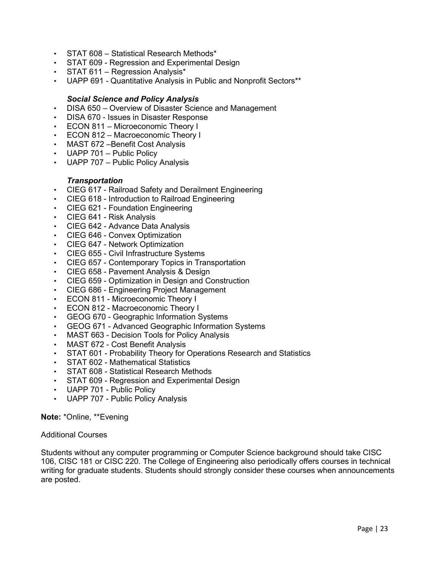- STAT 608 Statistical Research Methods\*
- STAT 609 Regression and Experimental Design<br>• STAT 611 Regression Analysis\*
- STAT 611 Regression Analysis\*
- UAPP 691 Quantitative Analysis in Public and Nonprofit Sectors\*\*

#### *Social Science and Policy Analysis*

- DISA 650 Overview of Disaster Science and Management
- DISA 670 Issues in Disaster Response
- ECON 811 Microeconomic Theory I
- ECON 812 Macroeconomic Theory I
- MAST 672 Benefit Cost Analysis
- UAPP 701 Public Policy
- UAPP 707 Public Policy Analysis

#### *Transportation*

- CIEG 617 Railroad Safety and Derailment Engineering
- CIEG 618 Introduction to Railroad Engineering
- CIEG 621 Foundation Engineering
- CIEG 641 Risk Analysis
- CIEG 642 Advance Data Analysis
- CIEG 646 Convex Optimization
- CIEG 647 Network Optimization
- CIEG 655 Civil Infrastructure Systems
- CIEG 657 Contemporary Topics in Transportation
- CIEG 658 Pavement Analysis & Design
- CIEG 659 Optimization in Design and Construction
- CIEG 686 Engineering Project Management
- ECON 811 Microeconomic Theory I
- ECON 812 Macroeconomic Theory I
- GEOG 670 Geographic Information Systems
- GEOG 671 Advanced Geographic Information Systems
- MAST 663 Decision Tools for Policy Analysis
- MAST 672 Cost Benefit Analysis
- STAT 601 Probability Theory for Operations Research and Statistics
- STAT 602 Mathematical Statistics
- STAT 608 Statistical Research Methods
- STAT 609 Regression and Experimental Design
- UAPP 701 Public Policy
- UAPP 707 Public Policy Analysis

**Note:** \*Online, \*\*Evening

#### Additional Courses

Students without any computer programming or Computer Science background should take CISC 106, CISC 181 or CISC 220. The College of Engineering also periodically offers courses in technical writing for graduate students. Students should strongly consider these courses when announcements are posted.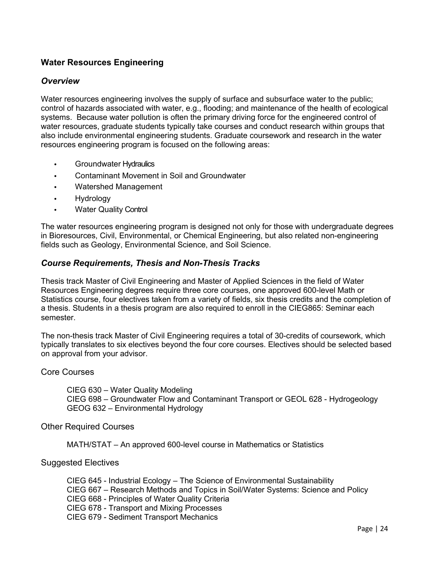## **Water Resources Engineering**

#### *Overview*

Water resources engineering involves the supply of surface and subsurface water to the public; control of hazards associated with water, e.g., flooding; and maintenance of the health of ecological systems. Because water pollution is often the primary driving force for the engineered control of water resources, graduate students typically take courses and conduct research within groups that also include environmental engineering students. Graduate coursework and research in the water resources engineering program is focused on the following areas:

- Groundwater Hydraulics
- Contaminant Movement in Soil and Groundwater
- Watershed Management
- Hydrology
- Water Quality Control

The water resources engineering program is designed not only for those with undergraduate degrees in Bioresources, Civil, Environmental, or Chemical Engineering, but also related non-engineering fields such as Geology, Environmental Science, and Soil Science.

#### *Course Requirements, Thesis and Non-Thesis Tracks*

Thesis track Master of Civil Engineering and Master of Applied Sciences in the field of Water Resources Engineering degrees require three core courses, one approved 600-level Math or Statistics course, four electives taken from a variety of fields, six thesis credits and the completion of a thesis. Students in a thesis program are also required to enroll in the CIEG865: Seminar each semester.

The non-thesis track Master of Civil Engineering requires a total of 30-credits of coursework, which typically translates to six electives beyond the four core courses. Electives should be selected based on approval from your advisor.

#### Core Courses

CIEG 630 – Water Quality Modeling CIEG 698 – Groundwater Flow and Contaminant Transport or GEOL 628 - Hydrogeology GEOG 632 – Environmental Hydrology

Other Required Courses

MATH/STAT – An approved 600-level course in Mathematics or Statistics

#### Suggested Electives

CIEG 645 - Industrial Ecology – The Science of Environmental Sustainability CIEG 667 – Research Methods and Topics in Soil/Water Systems: Science and Policy CIEG 668 - Principles of Water Quality Criteria CIEG 678 - Transport and Mixing Processes CIEG 679 - Sediment Transport Mechanics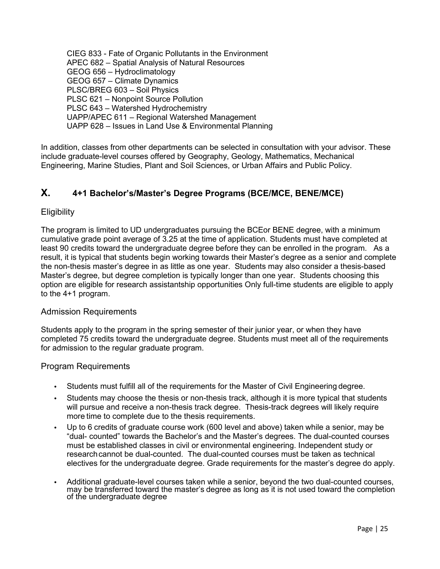CIEG 833 - Fate of Organic Pollutants in the Environment APEC 682 – Spatial Analysis of Natural Resources GEOG 656 – Hydroclimatology GEOG 657 – Climate Dynamics PLSC/BREG 603 – Soil Physics PLSC 621 – Nonpoint Source Pollution PLSC 643 – Watershed Hydrochemistry UAPP/APEC 611 – Regional Watershed Management UAPP 628 – Issues in Land Use & Environmental Planning

In addition, classes from other departments can be selected in consultation with your advisor. These include graduate-level courses offered by Geography, Geology, Mathematics, Mechanical Engineering, Marine Studies, Plant and Soil Sciences, or Urban Affairs and Public Policy.

## **X. 4+1 Bachelor's/Master's Degree Programs (BCE/MCE, BENE/MCE)**

#### **Eligibility**

The program is limited to UD undergraduates pursuing the BCEor BENE degree, with a minimum cumulative grade point average of 3.25 at the time of application. Students must have completed at least 90 credits toward the undergraduate degree before they can be enrolled in the program. As a result, it is typical that students begin working towards their Master's degree as a senior and complete the non-thesis master's degree in as little as one year. Students may also consider a thesis-based Master's degree, but degree completion is typically longer than one year. Students choosing this option are eligible for research assistantship opportunities Only full-time students are eligible to apply to the 4+1 program.

#### Admission Requirements

Students apply to the program in the spring semester of their junior year, or when they have completed 75 credits toward the undergraduate degree. Students must meet all of the requirements for admission to the regular graduate program.

#### Program Requirements

- Students must fulfill all of the requirements for the Master of Civil Engineering degree.
- Students may choose the thesis or non-thesis track, although it is more typical that students will pursue and receive a non-thesis track degree. Thesis-track degrees will likely require more time to complete due to the thesis requirements.
- Up to 6 credits of graduate course work (600 level and above) taken while a senior, may be "dual- counted" towards the Bachelor's and the Master's degrees. The dual-counted courses must be established classes in civil or environmental engineering. Independent study or researchcannot be dual-counted. The dual-counted courses must be taken as technical electives for the undergraduate degree. Grade requirements for the master's degree do apply.
- Additional graduate-level courses taken while a senior, beyond the two dual-counted courses, may be transferred toward the master's degree as long as it is not used toward the completion of the undergraduate degree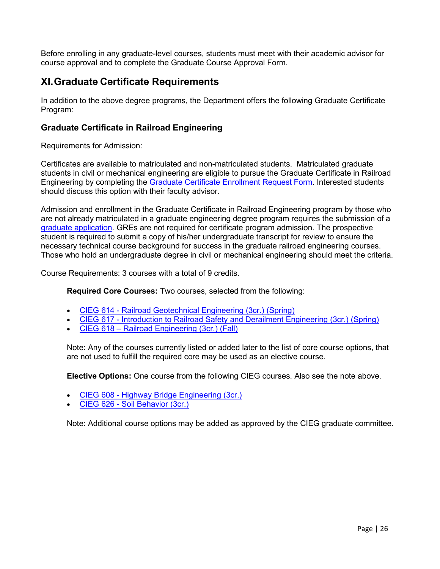Before enrolling in any graduate-level courses, students must meet with their academic advisor for course approval and to complete the Graduate Course Approval Form.

# **XI. Graduate Certificate Requirements**

In addition to the above degree programs, the Department offers the following Graduate Certificate Program:

## **Graduate Certificate in Railroad Engineering**

Requirements for Admission:

Certificates are available to matriculated and non-matriculated students. Matriculated graduate students in civil or mechanical engineering are eligible to pursue the Graduate Certificate in Railroad Engineering by completing the [Graduate Certificate Enrollment Request Form.](https://www.udel.edu/content/dam/udelImages/grad-college/graduate-college-pdfs/gradcertificate-enrollment.pdf) Interested students should discuss this option with their faculty advisor.

Admission and enrollment in the Graduate Certificate in Railroad Engineering program by those who are not already matriculated in a graduate engineering degree program requires the submission of a [graduate application.](https://www.udel.edu/academics/colleges/grad/prospective-students/grad-admissions/) GREs are not required for certificate program admission. The prospective student is required to submit a copy of his/her undergraduate transcript for review to ensure the necessary technical course background for success in the graduate railroad engineering courses. Those who hold an undergraduate degree in civil or mechanical engineering should meet the criteria.

Course Requirements: 3 courses with a total of 9 credits.

**Required Core Courses:** Two courses, selected from the following:

- [CIEG 614 Railroad Geotechnical Engineering \(3cr.\)](https://catalog.udel.edu/preview_program.php?catoid=30&poid=21543&returnto=3830) (Spring)
- [CIEG 617 Introduction to Railroad Safety and Derailment Engineering \(3cr.\)](https://catalog.udel.edu/preview_program.php?catoid=30&poid=21543&returnto=3830) (Spring)
- [CIEG 618 Railroad Engineering \(3cr.\)](https://catalog.udel.edu/preview_program.php?catoid=30&poid=21543&returnto=3830) (Fall)

Note: Any of the courses currently listed or added later to the list of core course options, that are not used to fulfill the required core may be used as an elective course.

**Elective Options:** One course from the following CIEG courses. Also see the note above.

- [CIEG 608 Highway Bridge Engineering](https://catalog.udel.edu/preview_program.php?catoid=30&poid=21543&returnto=3830) (3cr.)
- [CIEG 626 Soil Behavior \(3cr.\)](https://catalog.udel.edu/preview_program.php?catoid=30&poid=21543&returnto=3830)

Note: Additional course options may be added as approved by the CIEG graduate committee.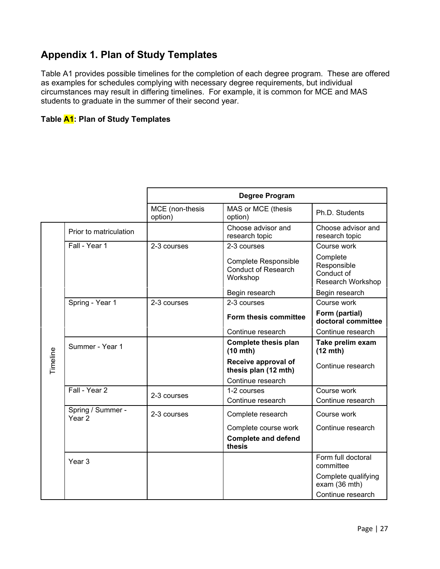# **Appendix 1. Plan of Study Templates**

Table A1 provides possible timelines for the completion of each degree program. These are offered as examples for schedules complying with necessary degree requirements, but individual circumstances may result in differing timelines. For example, it is common for MCE and MAS students to graduate in the summer of their second year.

#### **Table A1: Plan of Study Templates**

|          |                             |                            | <b>Degree Program</b>                                                 |                                                            |
|----------|-----------------------------|----------------------------|-----------------------------------------------------------------------|------------------------------------------------------------|
|          |                             | MCE (non-thesis<br>option) | MAS or MCE (thesis<br>option)                                         | Ph.D. Students                                             |
|          | Prior to matriculation      |                            | Choose advisor and<br>research topic                                  | Choose advisor and<br>research topic                       |
|          | Fall - Year 1               | 2-3 courses                | 2-3 courses                                                           | Course work                                                |
|          |                             |                            | <b>Complete Responsible</b><br><b>Conduct of Research</b><br>Workshop | Complete<br>Responsible<br>Conduct of<br>Research Workshop |
|          |                             |                            | Begin research                                                        | Begin research                                             |
|          | Spring - Year 1             | 2-3 courses                | 2-3 courses                                                           | Course work                                                |
|          |                             |                            | Form thesis committee                                                 | Form (partial)<br>doctoral committee                       |
|          |                             |                            | Continue research                                                     | Continue research                                          |
|          | Summer - Year 1             |                            | <b>Complete thesis plan</b><br>(10 mth)                               | Take prelim exam<br>$(12 \text{ mth})$                     |
| Timeline |                             |                            | Receive approval of<br>thesis plan (12 mth)                           | Continue research                                          |
|          |                             |                            | Continue research                                                     |                                                            |
|          | Fall - Year 2               | 2-3 courses                | 1-2 courses                                                           | Course work                                                |
|          |                             |                            | Continue research                                                     | Continue research                                          |
|          | Spring / Summer -<br>Year 2 | 2-3 courses                | Complete research                                                     | Course work                                                |
|          |                             |                            | Complete course work                                                  | Continue research                                          |
|          |                             |                            | <b>Complete and defend</b><br>thesis                                  |                                                            |
|          | Year <sub>3</sub>           |                            |                                                                       | Form full doctoral<br>committee                            |
|          |                             |                            |                                                                       | Complete qualifying<br>exam (36 mth)                       |
|          |                             |                            |                                                                       | Continue research                                          |